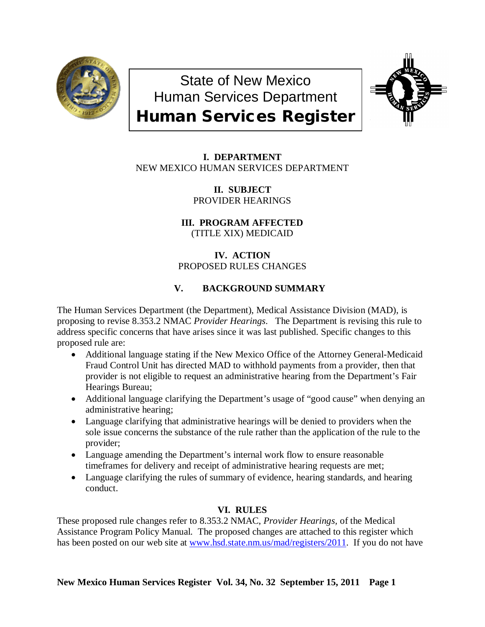

State of New Mexico Human Services Department Human Services Register



**I. DEPARTMENT** NEW MEXICO HUMAN SERVICES DEPARTMENT

> **II. SUBJECT** PROVIDER HEARINGS

**III. PROGRAM AFFECTED** (TITLE XIX) MEDICAID

# **IV. ACTION** PROPOSED RULES CHANGES

# **V. BACKGROUND SUMMARY**

The Human Services Department (the Department), Medical Assistance Division (MAD), is proposing to revise 8.353.2 NMAC *Provider Hearings*. The Department is revising this rule to address specific concerns that have arises since it was last published. Specific changes to this proposed rule are:

- Additional language stating if the New Mexico Office of the Attorney General-Medicaid Fraud Control Unit has directed MAD to withhold payments from a provider, then that provider is not eligible to request an administrative hearing from the Department's Fair Hearings Bureau;
- Additional language clarifying the Department's usage of "good cause" when denying an administrative hearing;
- Language clarifying that administrative hearings will be denied to providers when the sole issue concerns the substance of the rule rather than the application of the rule to the provider;
- Language amending the Department's internal work flow to ensure reasonable timeframes for delivery and receipt of administrative hearing requests are met;
- Language clarifying the rules of summary of evidence, hearing standards, and hearing conduct.

# **VI. RULES**

These proposed rule changes refer to 8.353.2 NMAC, *Provider Hearings,* of the Medical Assistance Program Policy Manual. The proposed changes are attached to this register which has been posted on our web site at [www.hsd.state.nm.us/mad/registers/2011.](http://www.hsd.state.nm.us/mad/registers/2011) If you do not have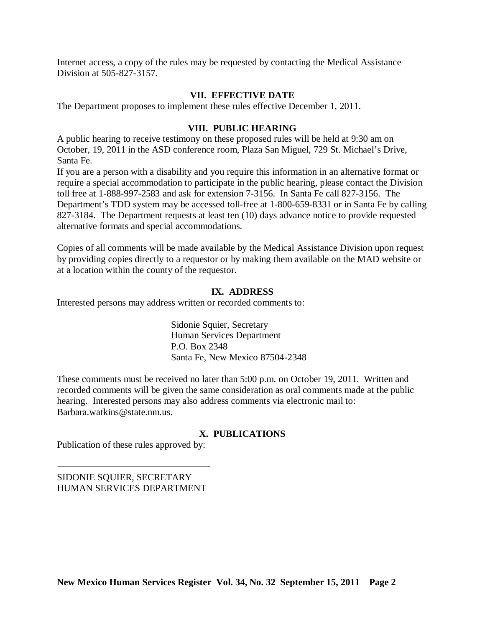Internet access, a copy of the rules may be requested by contacting the Medical Assistance Division at 505-827-3157.

# **VII. EFFECTIVE DATE**

The Department proposes to implement these rules effective December 1, 2011.

### **VIII. PUBLIC HEARING**

A public hearing to receive testimony on these proposed rules will be held at 9:30 am on October, 19, 2011 in the ASD conference room, Plaza San Miguel, 729 St. Michael's Drive, Santa Fe.

If you are a person with a disability and you require this information in an alternative format or require a special accommodation to participate in the public hearing, please contact the Division toll free at 1-888-997-2583 and ask for extension 7-3156. In Santa Fe call 827-3156. The Department's TDD system may be accessed toll-free at 1-800-659-8331 or in Santa Fe by calling 827-3184. The Department requests at least ten (10) days advance notice to provide requested alternative formats and special accommodations.

Copies of all comments will be made available by the Medical Assistance Division upon request by providing copies directly to a requestor or by making them available on the MAD website or at a location within the county of the requestor.

## **IX. ADDRESS**

Interested persons may address written or recorded comments to:

Sidonie Squier, Secretary Human Services Department P.O. Box 2348 Santa Fe, New Mexico 87504-2348

These comments must be received no later than 5:00 p.m. on October 19, 2011. Written and recorded comments will be given the same consideration as oral comments made at the public hearing. Interested persons may also address comments via electronic mail to: Barbara.watkins@state.nm.us.

## **X. PUBLICATIONS**

Publication of these rules approved by:

SIDONIE SQUIER, SECRETARY HUMAN SERVICES DEPARTMENT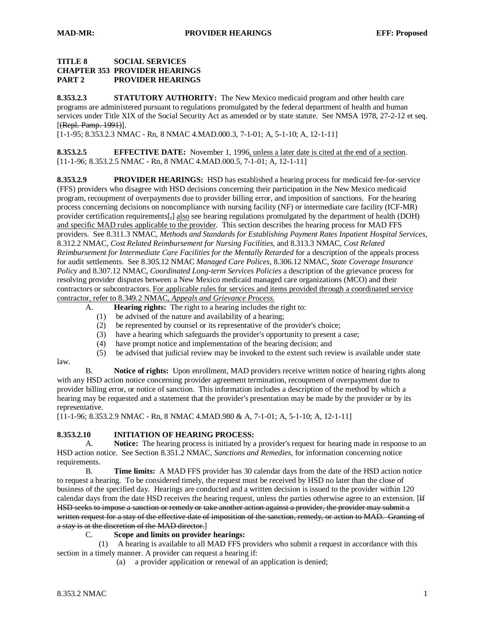#### **TITLE 8 SOCIAL SERVICES CHAPTER 353 PROVIDER HEARINGS PART 2 PROVIDER HEARINGS**

**8.353.2.3 STATUTORY AUTHORITY:** The New Mexico medicaid program and other health care programs are administered pursuant to regulations promulgated by the federal department of health and human services under Title XIX of the Social Security Act as amended or by state statute. See NMSA 1978, 27-2-12 et seq. [(Repl. Pamp. 1991)].

[1-1-95; 8.353.2.3 NMAC - Rn, 8 NMAC 4.MAD.000.3, 7-1-01; A, 5-1-10; A, 12-1-11]

**8.353.2.5 EFFECTIVE DATE:** November 1, 1996, unless a later date is cited at the end of a section. [11-1-96; 8.353.2.5 NMAC - Rn, 8 NMAC 4.MAD.000.5, 7-1-01; A, 12-1-11]

**8.353.2.9 PROVIDER HEARINGS:** HSD has established a hearing process for medicaid fee-for-service (FFS) providers who disagree with HSD decisions concerning their participation in the New Mexico medicaid program, recoupment of overpayments due to provider billing error, and imposition of sanctions. For the hearing process concerning decisions on noncompliance with nursing facility (NF) or intermediate care facility (ICF-MR) provider certification requirements[ $_{7}$ ] also see hearing regulations promulgated by the department of health (DOH) and specific MAD rules applicable to the provider. This section describes the hearing process for MAD FFS providers. See 8.311.3 NMAC, *Methods and Standards for Establishing Payment Rates Inpatient Hospital Services*, 8.312.2 NMAC, *Cost Related Reimbursement for Nursing Facilities*, and 8.313.3 NMAC, *Cost Related Reimbursement for Intermediate Care Facilities for the Mentally Retarded* for a description of the appeals process for audit settlements. See 8.305.12 NMAC *Managed Care Polices*, 8.306.12 NMAC, *State Coverage Insurance Policy* and 8.307.12 NMAC, *Coordinated Long-term Services Policies* a description of the grievance process for resolving provider disputes between a New Mexico medicaid managed care organizations (MCO) and their contractors or subcontractors. For applicable rules for services and items provided through a coordinated service contractor, refer to 8.349.2 NMAC, *Appeals and Grievance Process.*

- A. **Hearing rights:** The right to a hearing includes the right to:
	- (1) be advised of the nature and availability of a hearing;
	- (2) be represented by counsel or its representative of the provider's choice;
	- (3) have a hearing which safeguards the provider's opportunity to present a case;
	- (4) have prompt notice and implementation of the hearing decision; and
	- (5) be advised that judicial review may be invoked to the extent such review is available under state
- law.

B. **Notice of rights:** Upon enrollment, MAD providers receive written notice of hearing rights along with any HSD action notice concerning provider agreement termination, recoupment of overpayment due to provider billing error, or notice of sanction. This information includes a description of the method by which a hearing may be requested and a statement that the provider's presentation may be made by the provider or by its representative.

[11-1-96; 8.353.2.9 NMAC - Rn, 8 NMAC 4.MAD.980 & A, 7-1-01; A, 5-1-10; A, 12-1-11]

#### **8.353.2.10 INITIATION OF HEARING PROCESS:**

A. **Notice:** The hearing process is initiated by a provider's request for hearing made in response to an HSD action notice. See Section 8.351.2 NMAC, *Sanctions and Remedies*, for information concerning notice requirements.

B. **Time limits:** A MAD FFS provider has 30 calendar days from the date of the HSD action notice to request a hearing. To be considered timely, the request must be received by HSD no later than the close of business of the specified day. Hearings are conducted and a written decision is issued to the provider within 120 calendar days from the date HSD receives the hearing request, unless the parties otherwise agree to an extension. [If HSD seeks to impose a sanction or remedy or take another action against a provider, the provider may submit a written request for a stay of the effective date of imposition of the sanction, remedy, or action to MAD. Granting of a stay is at the discretion of the MAD director. ]

#### C. **Scope and limits on provider hearings:**

 (1) A hearing is available to all MAD FFS providers who submit a request in accordance with this section in a timely manner. A provider can request a hearing if:

(a) a provider application or renewal of an application is denied;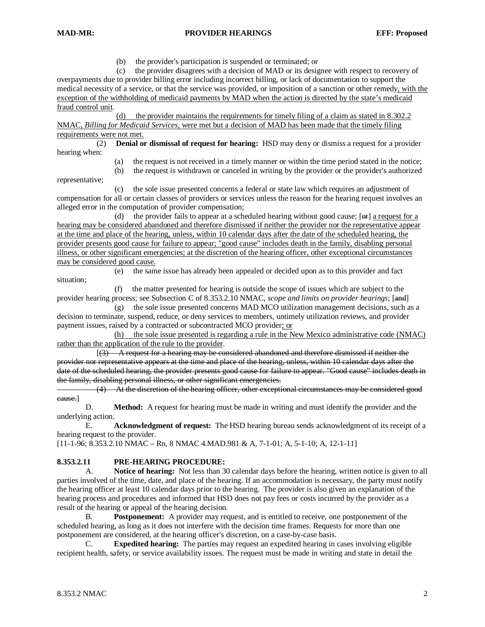(b) the provider's participation is suspended or terminated; or

 (c) the provider disagrees with a decision of MAD or its designee with respect to recovery of overpayments due to provider billing error including incorrect billing, or lack of documentation to support the medical necessity of a service, or that the service was provided, or imposition of a sanction or other remedy, with the exception of the withholding of medicaid payments by MAD when the action is directed by the state's medicaid fraud control unit .

(d) the provider maintains the requirements for timely filing of a claim as stated in 8.302.2 NMAC, *Billing for Medicaid Services*, were met but a decision of MAD has been made that the timely filing requirements were not met.

 (2) **Denial or dismissal of request for hearing:** HSD may deny or dismiss a request for a provider hearing when:

 (a) the request is not received in a timely manner or within the time period stated in the notice; (b) the request is withdrawn or canceled in writing by the provider or the provider's authorized

representative;

 (c) the sole issue presented concerns a federal or state law which requires an adjustment of compensation for all or certain classes of providers or services unless the reason for the hearing request involves an alleged error in the computation of provider compensation;

(d) the provider fails to appear at a scheduled hearing without good cause;  $[**er**]$  a request for a hearing may be considered abandoned and therefore dismissed if neither the provider nor the representative appear at the time and place of the hearing, unless, within 10 calendar days after the date of the scheduled hearing, the provider presents good cause for failure to appear; "good cause" includes death in the family, disabling personal illness, or other significant emergencies; at the discretion of the hearing officer, other exceptional circumstances may be considered good cause.

 (e) the same issue has already been appealed or decided upon as to this provider and fact situation;

 (f) the matter presented for hearing is outside the scope of issues which are subject to the provider hearing process; see Subsection C of 8.353.2.10 NMAC, *scope and limits on provider hearings*; [and]

 (g) the sole issue presented concerns MAD MCO utilization management decisions, such as a decision to terminate, suspend, reduce, or deny services to members, untimely utilization reviews, and provider payment issues, raised by a contracted or subcontracted MCO provider; or

(h) the sole issue presented is regarding a rule in the New Mexico administrative code (NMAC) rather than the application of the rule to the provider.

 $\overline{a}$ (3) A request for a hearing may be considered abandoned and therefore dismissed if neither the provider nor representative appears at the time and place of the hearing, unless, within 10 calendar days after the date of the scheduled hearing, the provider presents good cause for failure to appear. "Good cause" includes death in the family, disabling personal illness, or other significant emergencies.

 (4) At the discretion of the hearing officer, other exceptional circumstances may be considered good cause. ]

D. **Method:** A request for hearing must be made in writing and must identify the provider and the underlying action.

E. **Acknowledgment of request:** The HSD hearing bureau sends acknowledgment of its receipt of a hearing request to the provider.

[11-1-96; 8.353.2.10 NMAC – Rn, 8 NMAC 4.MAD.981 & A, 7-1-01; A, 5-1-10; A, 12-1-11]

#### **8.353.2.11 PRE-HEARING PROCEDURE:**

A. **Notice of hearing:** Not less than 30 calendar days before the hearing, written notice is given to all parties involved of the time, date, and place of the hearing. If an accommodation is necessary, the party must notify the hearing officer at least 10 calendar days prior to the hearing. The provider is also given an explanation of the hearing process and procedures and informed that HSD does not pay fees or costs incurred by the provider as a result of the hearing or appeal of the hearing decision.

B. **Postponement:** A provider may request, and is entitled to receive, one postponement of the scheduled hearing, as long as it does not interfere with the decision time frames. Requests for more than one postponement are considered, at the hearing officer's discretion, on a case-by-case basis.

C. **Expedited hearing:** The parties may request an expedited hearing in cases involving eligible recipient health, safety, or service availability issues. The request must be made in writing and state in detail the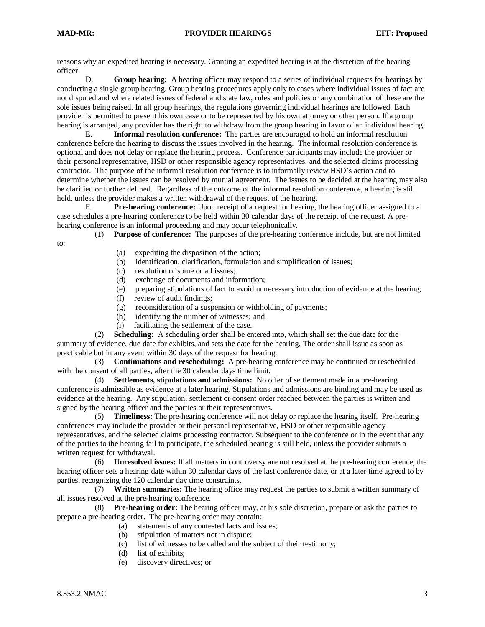#### **MAD-MR: PROVIDER HEARINGS EFF: Proposed**

reasons why an expedited hearing is necessary. Granting an expedited hearing is at the discretion of the hearing officer.

D. **Group hearing:** A hearing officer may respond to a series of individual requests for hearings by conducting a single group hearing. Group hearing procedures apply only to cases where individual issues of fact are not disputed and where related issues of federal and state law, rules and policies or any combination of these are the sole issues being raised. In all group hearings, the regulations governing individual hearings are followed. Each provider is permitted to present his own case or to be represented by his own attorney or other person. If a group hearing is arranged, any provider has the right to withdraw from the group hearing in favor of an individual hearing.

E. **Informal resolution conference:** The parties are encouraged to hold an informal resolution conference before the hearing to discuss the issues involved in the hearing. The informal resolution conference is optional and does not delay or replace the hearing process. Conference participants may include the provider or their personal representative, HSD or other responsible agency representatives, and the selected claims processing contractor. The purpose of the informal resolution conference is to informally review HSD's action and to determine whether the issues can be resolved by mutual agreement. The issues to be decided at the hearing may also be clarified or further defined. Regardless of the outcome of the informal resolution conference, a hearing is still held, unless the provider makes a written withdrawal of the request of the hearing.

F. **Pre-hearing conference:** Upon receipt of a request for hearing, the hearing officer assigned to a case schedules a pre-hearing conference to be held within 30 calendar days of the receipt of the request. A prehearing conference is an informal proceeding and may occur telephonically.

(1) **Purpose of conference:** The purposes of the pre-hearing conference include, but are not limited

to:

- (a) expediting the disposition of the action;
- (b) identification, clarification, formulation and simplification of issues;
- (c) resolution of some or all issues;
- (d) exchange of documents and information;
- (e) preparing stipulations of fact to avoid unnecessary introduction of evidence at the hearing;
	- (f) review of audit findings;
	- (g) reconsideration of a suspension or withholding of payments;
	- (h) identifying the number of witnesses; and
	- (i) facilitating the settlement of the case.

 (2) **Scheduling:** A scheduling order shall be entered into, which shall set the due date for the summary of evidence, due date for exhibits, and sets the date for the hearing. The order shall issue as soon as practicable but in any event within 30 days of the request for hearing.

 (3) **Continuations and rescheduling:** A pre-hearing conference may be continued or rescheduled with the consent of all parties, after the 30 calendar days time limit.

 (4) **Settlements, stipulations and admissions:** No offer of settlement made in a pre-hearing conference is admissible as evidence at a later hearing. Stipulations and admissions are binding and may be used as evidence at the hearing. Any stipulation, settlement or consent order reached between the parties is written and signed by the hearing officer and the parties or their representatives.

(5) **Timeliness:** The pre-hearing conference will not delay or replace the hearing itself. Pre-hearing conferences may include the provider or their personal representative, HSD or other responsible agency representatives, and the selected claims processing contractor. Subsequent to the conference or in the event that any of the parties to the hearing fail to participate, the scheduled hearing is still held, unless the provider submits a written request for withdrawal.

 (6) **Unresolved issues:** If all matters in controversy are not resolved at the pre-hearing conference, the hearing officer sets a hearing date within 30 calendar days of the last conference date, or at a later time agreed to by parties, recognizing the 120 calendar day time constraints.

 (7) **Written summaries:** The hearing office may request the parties to submit a written summary of all issues resolved at the pre-hearing conference.

 (8) **Pre-hearing order:** The hearing officer may, at his sole discretion, prepare or ask the parties to prepare a pre-hearing order. The pre-hearing order may contain:

- (a) statements of any contested facts and issues;
- (b) stipulation of matters not in dispute;
- (c) list of witnesses to be called and the subject of their testimony;
- (d) list of exhibits;
- (e) discovery directives; or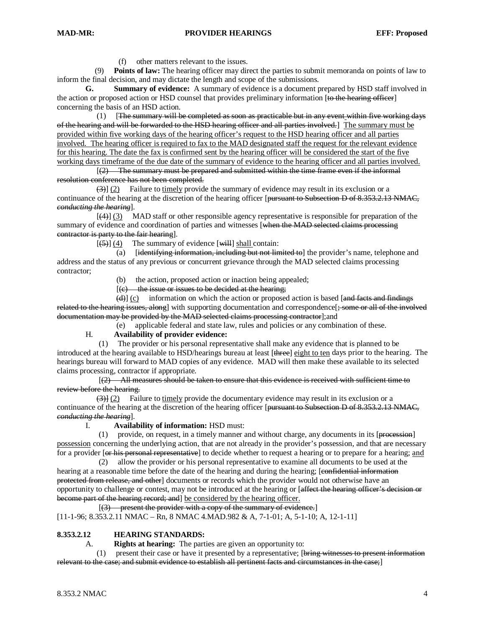$\overline{a}$ 

(f) other matters relevant to the issues.

 (9) **Points of law:** The hearing officer may direct the parties to submit memoranda on points of law to inform the final decision, and may dictate the length and scope of the submissions.

**G. Summary of evidence:** A summary of evidence is a document prepared by HSD staff involved in the action or proposed action or HSD counsel that provides preliminary information [to the hearing officer] concerning the basis of an HSD action.

 $(1)$ The summary will be completed as soon as practicable but in any event within five working days of the hearing and will be forwarded to the HSD hearing officer and all parties involved.] The summary must be provided within five working days of the hearing officer's request to the HSD hearing officer and all parties involved. The hearing officer is required to fax to the MAD designated staff the request for the relevant evidence for this hearing. The date the fax is confirmed sent by the hearing officer will be considered the start of the five working days timeframe of the due date of the summary of evidence to the hearing officer and all parties involved.

 $\mathbb{R}^n$  and  $\mathbb{R}^n$  $(2)$  The summary must be prepared and submitted within the time frame even if the informal resolution conference has not been completed.

(3)] (2) Failure to timely provide the summary of evidence may result in its exclusion or a continuance of the hearing at the discretion of the hearing officer [pursuant to Subsection D of 8.353.2.13 NMAC, *conducting the hearing* ].

 $\overline{a}$ (4)] (3) MAD staff or other responsible agency representative is responsible for preparation of the summary of evidence and coordination of parties and witnesses [when the MAD selected claims processing contractor is party to the fair hearing ].

 $(5)$  (4) The summary of evidence [will] shall contain:

(a) [identifying information, including but not limited to] the provider's name, telephone and address and the status of any previous or concurrent grievance through the MAD selected claims processing contractor;

(b) the action, proposed action or inaction being appealed;

[*[*]  $(c)$  the issue or issues to be decided at the hearing;

 $(d)$ ] (c) information on which the action or proposed action is based [and facts and findings related to the hearing issues, along with supporting documentation and correspondence  $\frac{1}{2}$ ; some or all of the involved documentation may be provided by the MAD selected claims processing contractor];and

(e) applicable federal and state law, rules and policies or any combination of these.

#### H. **Availability of provider evidence:**

 (1) The provider or his personal representative shall make any evidence that is planned to be introduced at the hearing available to HSD/hearings bureau at least [three] eight to ten days prior to the hearing. The hearings bureau will forward to MAD copies of any evidence. MAD will then make these available to its selected claims processing, contractor if appropriate.

 $\overline{a}$  (and  $\overline{a}$ ) and  $\overline{a}$ (2) All measures should be taken to ensure that this evidence is received with sufficient time to review before the hearing.

 $\left(\frac{3}{2}\right)$  [2] Failure to timely provide the documentary evidence may result in its exclusion or a continuance of the hearing at the discretion of the hearing officer [pursuant to Subsection D of 8.353.2.13 NMAC, *conducting the hearing* ].

I. **Availability of information:** HSD must:

 $(1)$  provide, on request, in a timely manner and without charge, any documents in its [procession] possession concerning the underlying action, that are not already in the provider's possession, and that are necessary for a provider [<del>or his personal representative</del>] to decide whether to request a hearing or to prepare for a hearing; and

 (2) allow the provider or his personal representative to examine all documents to be used at the hearing at a reasonable time before the date of the hearing and during the hearing; [confidential information protected from release, and other] documents or records which the provider would not otherwise have an opportunity to challenge or contest, may not be introduced at the hearing or [affect the hearing officer's decision or become part of the hearing record; and be considered by the hearing officer.

 $\overline{a}$  (and  $\overline{a}$ ) and  $\overline{a}$ (3) present the provider with a copy of the summary of evidence. ]

[11-1-96; 8.353.2.11 NMAC – Rn, 8 NMAC 4.MAD.982 & A, 7-1-01; A, 5-1-10; A, 12-1-11]

#### **8.353.2.12 HEARING STANDARDS:**

A. **Rights at hearing:** The parties are given an opportunity to:

 (1) present their case or have it presented by a representative; [bring witnesses to present information relevant to the case; and submit evidence to establish all pertinent facts and circumstances in the case;]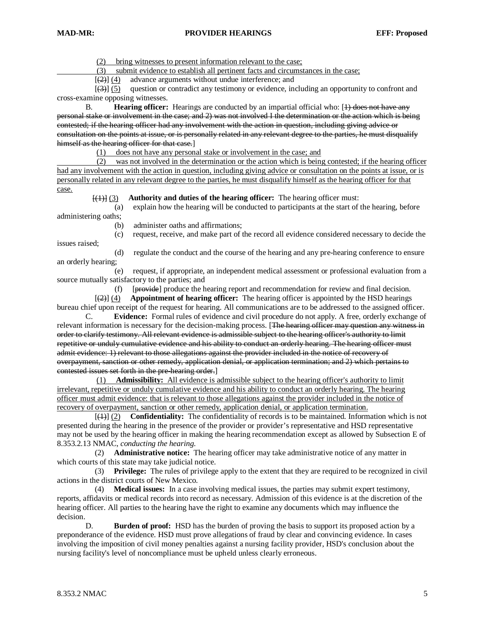$\overline{a}$  (see Fig. ).

(2) bring witnesses to present information relevant to the case;

(3) submit evidence to establish all pertinent facts and circumstances in the case;

 $[ (2)] (4)$ advance arguments without undue interference; and

 $\overline{a}$  (see Fig. ).  $[3] (5)$  question or contradict any testimony or evidence, including an opportunity to confront and cross-examine opposing witnesses.

B. **Hearing officer:** Hearings are conducted by an impartial official who: [4) does not have any personal stake or involvement in the case; and 2) was not involved I the determination or the action which is being contested; if the hearing officer had any involvement with the action in question, including giving advice or consultation on the points at issue, or is personally related in any relevant degree to the parties, he must disqualify himself as the hearing officer for that case.]

(1) does not have any personal stake or involvement in the case; and

 (2) was not involved in the determination or the action which is being contested; if the hearing officer had any involvement with the action in question, including giving advice or consultation on the points at issue, or is personally related in any relevant degree to the parties, he must disqualify himself as the hearing officer for that case.

[(1)] (3) **Authority and duties of the hearing officer:** The hearing officer must:

 (a) explain how the hearing will be conducted to participants at the start of the hearing, before administering oaths;

(b) administer oaths and affirmations;

 (c) request, receive, and make part of the record all evidence considered necessary to decide the issues raised;

 (d) regulate the conduct and the course of the hearing and any pre-hearing conference to ensure an orderly hearing;

 (e) request, if appropriate, an independent medical assessment or professional evaluation from a source mutually satisfactory to the parties; and

(f) [**provide**] produce the hearing report and recommendation for review and final decision.

 $\overline{a}$  (see Fig. ).  $[ (2)] (4)$  **Appointment of hearing officer:** The hearing officer is appointed by the HSD hearings bureau chief upon receipt of the request for hearing. All communications are to be addressed to the assigned officer.

C. **Evidence:** Formal rules of evidence and civil procedure do not apply. A free, orderly exchange of relevant information is necessary for the decision-making process. [The hearing officer may question any witness in order to clarify testimony. All relevant evidence is admissible subject to the hearing officer's authority to limit repetitive or unduly cumulative evidence and his ability to conduct an orderly hearing. The hearing officer must admit evidence: 1) relevant to those allegations against the provider included in the notice of recovery of overpayment, sanction or other remedy, application denial, or application termination; and 2) which pertains to contested issues set forth in the pre-hearing order.]

(1) **Admissibility:** All evidence is admissible subject to the hearing officer's authority to limit irrelevant, repetitive or unduly cumulative evidence and his ability to conduct an orderly hearing. The hearing officer must admit evidence: that is relevant to those allegations against the provider included in the notice of recovery of overpayment, sanction or other remedy, application denial, or application termination.

 $\overline{a}$  (see Fig. ). (1)] (2) **Confidentiality:** The confidentiality of records is to be maintained. Information which is not presented during the hearing in the presence of the provider or provider's representative and HSD representative may not be used by the hearing officer in making the hearing recommendation except as allowed by Subsection E of 8.353.2.13 NMAC, *conducting the hearing*.

 (2) **Administrative notice:** The hearing officer may take administrative notice of any matter in which courts of this state may take judicial notice.

 (3) **Privilege:** The rules of privilege apply to the extent that they are required to be recognized in civil actions in the district courts of New Mexico.

 (4) **Medical issues:** In a case involving medical issues, the parties may submit expert testimony, reports, affidavits or medical records into record as necessary. Admission of this evidence is at the discretion of the hearing officer. All parties to the hearing have the right to examine any documents which may influence the decision.

D. **Burden of proof:** HSD has the burden of proving the basis to support its proposed action by a preponderance of the evidence. HSD must prove allegations of fraud by clear and convincing evidence. In cases involving the imposition of civil money penalties against a nursing facility provider, HSD's conclusion about the nursing facility's level of noncompliance must be upheld unless clearly erroneous.